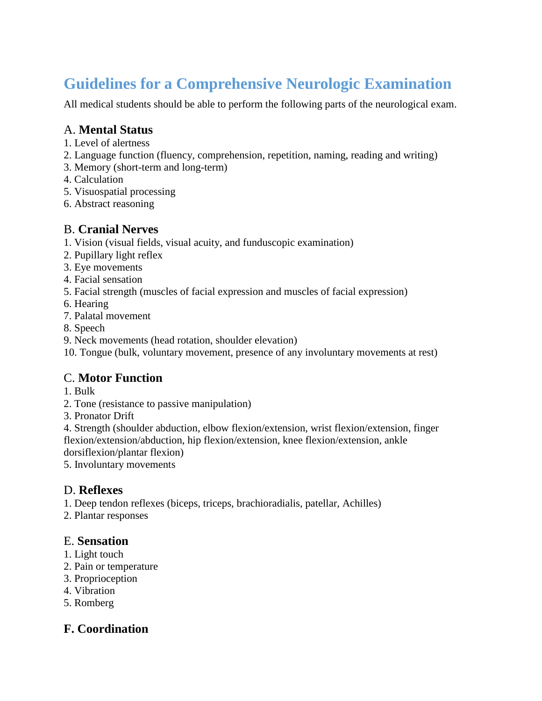# **Guidelines for a Comprehensive Neurologic Examination**

All medical students should be able to perform the following parts of the neurological exam.

#### A. **Mental Status**

- 1. Level of alertness
- 2. Language function (fluency, comprehension, repetition, naming, reading and writing)
- 3. Memory (short-term and long-term)
- 4. Calculation
- 5. Visuospatial processing
- 6. Abstract reasoning

## B. **Cranial Nerves**

- 1. Vision (visual fields, visual acuity, and funduscopic examination)
- 2. Pupillary light reflex
- 3. Eye movements
- 4. Facial sensation
- 5. Facial strength (muscles of facial expression and muscles of facial expression)
- 6. Hearing
- 7. Palatal movement
- 8. Speech
- 9. Neck movements (head rotation, shoulder elevation)

10. Tongue (bulk, voluntary movement, presence of any involuntary movements at rest)

## C. **Motor Function**

- 1. Bulk
- 2. Tone (resistance to passive manipulation)
- 3. Pronator Drift

4. Strength (shoulder abduction, elbow flexion/extension, wrist flexion/extension, finger flexion/extension/abduction, hip flexion/extension, knee flexion/extension, ankle

dorsiflexion/plantar flexion)

5. Involuntary movements

#### D. **Reflexes**

1. Deep tendon reflexes (biceps, triceps, brachioradialis, patellar, Achilles)

2. Plantar responses

#### E. **Sensation**

- 1. Light touch
- 2. Pain or temperature
- 3. Proprioception
- 4. Vibration
- 5. Romberg

## **F. Coordination**